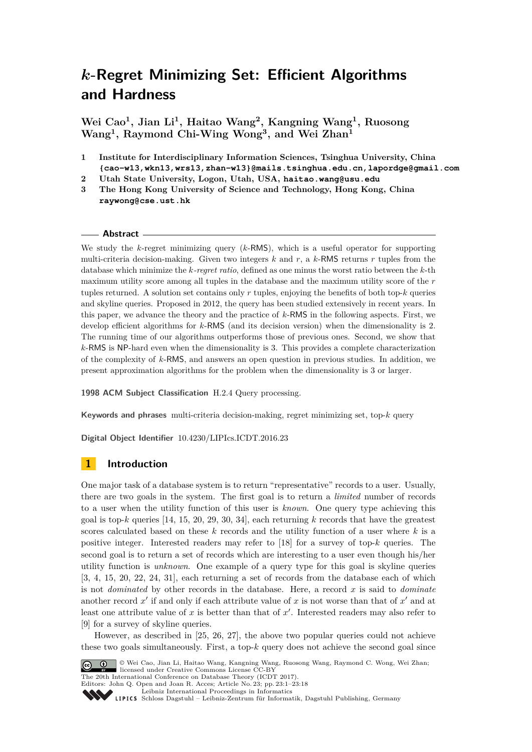# *k***-Regret Minimizing Set: Efficient Algorithms and Hardness**

**Wei Cao<sup>1</sup> , Jian Li<sup>1</sup> , Haitao Wang<sup>2</sup> , Kangning Wang<sup>1</sup> , Ruosong Wang<sup>1</sup> , Raymond Chi-Wing Wong<sup>3</sup> , and Wei Zhan<sup>1</sup>**

- **1 Institute for Interdisciplinary Information Sciences, Tsinghua University, China {cao-w13,wkn13,wrs13,zhan-w13}@mails.tsinghua.edu.cn,lapordge@gmail.com**
- **2 Utah State University, Logon, Utah, USA, haitao.wang@usu.edu**
- **3 The Hong Kong University of Science and Technology, Hong Kong, China raywong@cse.ust.hk**

#### **Abstract**

We study the *k*-regret minimizing query (*k*-RMS), which is a useful operator for supporting multi-criteria decision-making. Given two integers  $k$  and  $r$ , a  $k$ -RMS returns  $r$  tuples from the database which minimize the *k-regret ratio*, defined as one minus the worst ratio between the *k*-th maximum utility score among all tuples in the database and the maximum utility score of the *r* tuples returned. A solution set contains only *r* tuples, enjoying the benefits of both top-*k* queries and skyline queries. Proposed in 2012, the query has been studied extensively in recent years. In this paper, we advance the theory and the practice of *k*-RMS in the following aspects. First, we develop efficient algorithms for *k*-RMS (and its decision version) when the dimensionality is 2. The running time of our algorithms outperforms those of previous ones. Second, we show that *k*-RMS is NP-hard even when the dimensionality is 3. This provides a complete characterization of the complexity of *k*-RMS, and answers an open question in previous studies. In addition, we present approximation algorithms for the problem when the dimensionality is 3 or larger.

**1998 ACM Subject Classification** H.2.4 Query processing.

**Keywords and phrases** multi-criteria decision-making, regret minimizing set, top-*k* query

**Digital Object Identifier** [10.4230/LIPIcs.ICDT.2016.23](http://dx.doi.org/10.4230/LIPIcs.ICDT.2016.23)

# **1 Introduction**

One major task of a database system is to return "representative" records to a user. Usually, there are two goals in the system. The first goal is to return a *limited* number of records to a user when the utility function of this user is *known*. One query type achieving this goal is top-*k* queries [\[14,](#page-16-0) [15,](#page-16-1) [20,](#page-16-2) [29,](#page-17-0) [30,](#page-17-1) [34\]](#page-17-2), each returning *k* records that have the greatest scores calculated based on these *k* records and the utility function of a user where *k* is a positive integer. Interested readers may refer to [\[18\]](#page-16-3) for a survey of top-*k* queries. The second goal is to return a set of records which are interesting to a user even though his/her utility function is *unknown*. One example of a query type for this goal is skyline queries [\[3,](#page-16-4) [4,](#page-16-5) [15,](#page-16-1) [20,](#page-16-2) [22,](#page-16-6) [24,](#page-17-3) [31\]](#page-17-4), each returning a set of records from the database each of which is not *dominated* by other records in the database. Here, a record *x* is said to *dominate* another record  $x'$  if and only if each attribute value of  $x$  is not worse than that of  $x'$  and at least one attribute value of  $x$  is better than that of  $x'$ . Interested readers may also refer to [\[9\]](#page-16-7) for a survey of skyline queries.

However, as described in [\[25,](#page-17-5) [26,](#page-17-6) [27\]](#page-17-7), the above two popular queries could not achieve these two goals simultaneously. First, a top- $k$  query does not achieve the second goal since



© Wei Cao, Jian Li, Haitao Wang, Kangning Wang, Ruosong Wang, Raymond C. Wong, Wei Zhan; licensed under Creative Commons License CC-BY

The 20th International Conference on Database Theory (ICDT 2017). Editors: John Q. Open and Joan R. Acces; Article No. 23; pp. 23:1–23[:18](#page-17-8)

[Leibniz International Proceedings in Informatics](http://www.dagstuhl.de/lipics/)

[Schloss Dagstuhl – Leibniz-Zentrum für Informatik, Dagstuhl Publishing, Germany](http://www.dagstuhl.de)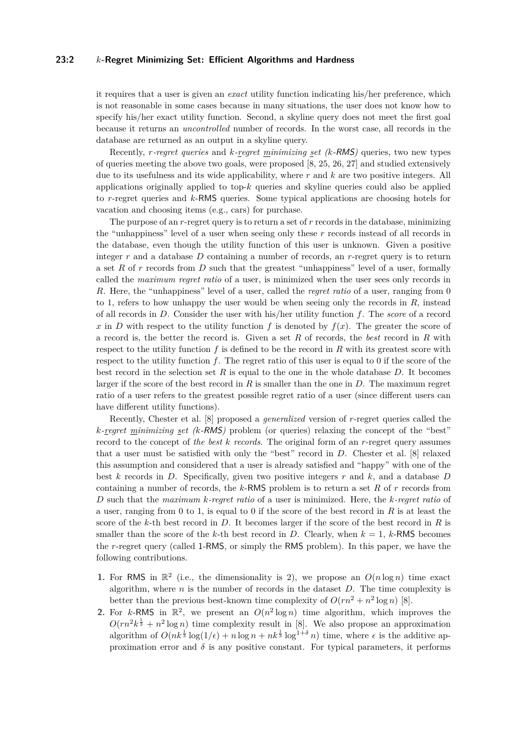#### **23:2** *k***-Regret Minimizing Set: Efficient Algorithms and Hardness**

it requires that a user is given an *exact* utility function indicating his/her preference, which is not reasonable in some cases because in many situations, the user does not know how to specify his/her exact utility function. Second, a skyline query does not meet the first goal because it returns an *uncontrolled* number of records. In the worst case, all records in the database are returned as an output in a skyline query.

Recently, *r-regret queries* and *k-regret minimizing set (k*-RMS*)* queries, two new types of queries meeting the above two goals, were proposed [\[8,](#page-16-8) [25,](#page-17-5) [26,](#page-17-6) [27\]](#page-17-7) and studied extensively due to its usefulness and its wide applicability, where *r* and *k* are two positive integers. All applications originally applied to top-*k* queries and skyline queries could also be applied to *r*-regret queries and *k*-RMS queries. Some typical applications are choosing hotels for vacation and choosing items (e.g., cars) for purchase.

The purpose of an *r*-regret query is to return a set of *r* records in the database, minimizing the "unhappiness" level of a user when seeing only these *r* records instead of all records in the database, even though the utility function of this user is unknown. Given a positive integer *r* and a database *D* containing a number of records, an *r*-regret query is to return a set *R* of *r* records from *D* such that the greatest "unhappiness" level of a user, formally called the *maximum regret ratio* of a user, is minimized when the user sees only records in *R*. Here, the "unhappiness" level of a user, called the *regret ratio* of a user, ranging from 0 to 1, refers to how unhappy the user would be when seeing only the records in *R*, instead of all records in *D*. Consider the user with his/her utility function *f*. The *score* of a record *x* in *D* with respect to the utility function *f* is denoted by  $f(x)$ . The greater the score of a record is, the better the record is. Given a set *R* of records, the *best* record in *R* with respect to the utility function  $f$  is defined to be the record in  $R$  with its greatest score with respect to the utility function *f*. The regret ratio of this user is equal to 0 if the score of the best record in the selection set *R* is equal to the one in the whole database *D*. It becomes larger if the score of the best record in *R* is smaller than the one in *D*. The maximum regret ratio of a user refers to the greatest possible regret ratio of a user (since different users can have different utility functions).

Recently, Chester et al. [\[8\]](#page-16-8) proposed a *generalized* version of *r*-regret queries called the *k-regret minimizing set (k*-RMS*)* problem (or queries) relaxing the concept of the "best" record to the concept of *the best k records*. The original form of an *r*-regret query assumes that a user must be satisfied with only the "best" record in *D*. Chester et al. [\[8\]](#page-16-8) relaxed this assumption and considered that a user is already satisfied and "happy" with one of the best *k* records in *D*. Specifically, given two positive integers *r* and *k*, and a database *D* containing a number of records, the *k*-RMS problem is to return a set *R* of *r* records from *D* such that the *maximum k-regret ratio* of a user is minimized. Here, the *k-regret ratio* of a user, ranging from 0 to 1, is equal to 0 if the score of the best record in *R* is at least the score of the *k*-th best record in *D*. It becomes larger if the score of the best record in *R* is smaller than the score of the *k*-th best record in *D*. Clearly, when  $k = 1$ , *k*-RMS becomes the *r*-regret query (called 1-RMS, or simply the RMS problem). In this paper, we have the following contributions.

- **1.** For RMS in  $\mathbb{R}^2$  (i.e., the dimensionality is 2), we propose an  $O(n \log n)$  time exact algorithm, where *n* is the number of records in the dataset *D*. The time complexity is better than the previous best-known time complexity of  $O(rn^2 + n^2 \log n)$  [\[8\]](#page-16-8).
- **2.** For k-RMS in  $\mathbb{R}^2$ , we present an  $O(n^2 \log n)$  time algorithm, which improves the  $O(rn^2k^{\frac{1}{3}} + n^2 \log n)$  time complexity result in [\[8\]](#page-16-8). We also propose an approximation algorithm of  $O(nk^{\frac{1}{3}} \log(1/\epsilon) + n \log n + nk^{\frac{1}{3}} \log^{1+\delta} n)$  time, where  $\epsilon$  is the additive approximation error and  $\delta$  is any positive constant. For typical parameters, it performs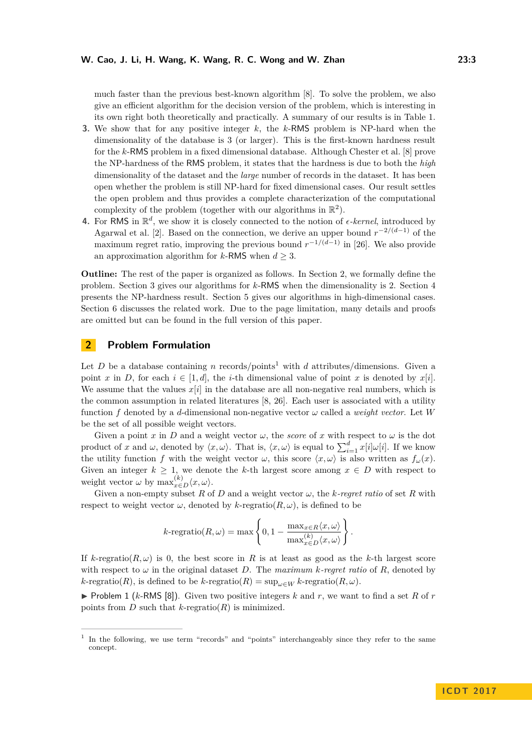much faster than the previous best-known algorithm [\[8\]](#page-16-8). To solve the problem, we also give an efficient algorithm for the decision version of the problem, which is interesting in its own right both theoretically and practically. A summary of our results is in Table [1.](#page-3-0)

- **3.** We show that for any positive integer *k*, the *k*-RMS problem is NP-hard when the dimensionality of the database is 3 (or larger). This is the first-known hardness result for the *k*-RMS problem in a fixed dimensional database. Although Chester et al. [\[8\]](#page-16-8) prove the NP-hardness of the RMS problem, it states that the hardness is due to both the *high* dimensionality of the dataset and the *large* number of records in the dataset. It has been open whether the problem is still NP-hard for fixed dimensional cases. Our result settles the open problem and thus provides a complete characterization of the computational complexity of the problem (together with our algorithms in  $\mathbb{R}^2$ ).
- **4.** For RMS in  $\mathbb{R}^d$ , we show it is closely connected to the notion of  $\epsilon$ -kernel, introduced by Agarwal et al. [\[2\]](#page-16-9). Based on the connection, we derive an upper bound  $r^{-2/(d-1)}$  of the maximum regret ratio, improving the previous bound  $r^{-1/(d-1)}$  in [\[26\]](#page-17-6). We also provide an approximation algorithm for *k*-RMS when  $d \geq 3$ .

**Outline:** The rest of the paper is organized as follows. In Section [2,](#page-2-0) we formally define the problem. Section [3](#page-3-1) gives our algorithms for *k*-RMS when the dimensionality is 2. Section [4](#page-12-0) presents the NP-hardness result. Section [5](#page-14-0) gives our algorithms in high-dimensional cases. Section [6](#page-15-0) discusses the related work. Due to the page limitation, many details and proofs are omitted but can be found in the full version of this paper.

# <span id="page-2-0"></span>**2 Problem Formulation**

Let *D* be a database containing *n* records/points<sup>[1](#page-2-1)</sup> with *d* attributes/dimensions. Given a point *x* in *D*, for each  $i \in [1, d]$ , the *i*-th dimensional value of point *x* is denoted by  $x[i]$ . We assume that the values  $x[i]$  in the database are all non-negative real numbers, which is the common assumption in related literatures [\[8,](#page-16-8) [26\]](#page-17-6). Each user is associated with a utility function *f* denoted by a *d*-dimensional non-negative vector  $\omega$  called a *weight vector*. Let *W* be the set of all possible weight vectors.

Given a point *x* in *D* and a weight vector  $\omega$ , the *score* of *x* with respect to  $\omega$  is the dot product of *x* and *ω*, denoted by  $\langle x, \omega \rangle$ . That is,  $\langle x, \omega \rangle$  is equal to  $\sum_{i=1}^{d} x[i]\omega[i]$ . If we know the utility function *f* with the weight vector *ω*, this score  $\langle x, \omega \rangle$  is also written as  $f_{\omega}(x)$ . Given an integer  $k \geq 1$ , we denote the k-th largest score among  $x \in D$  with respect to weight vector  $\omega$  by  $\max_{x \in D}^{(k)} \langle x, \omega \rangle$ .

Given a non-empty subset *R* of *D* and a weight vector  $\omega$ , the *k*-regret ratio of set *R* with respect to weight vector  $\omega$ , denoted by *k*-regratio( $R, \omega$ ), is defined to be

$$
k\text{-regratio}(R,\omega)=\max\left\{0,1-\frac{\max_{x\in R}\langle x,\omega\rangle}{\max_{x\in D}^{\langle k\rangle}\langle x,\omega\rangle}\right\}.
$$

If  $k$ -regratio( $R, \omega$ ) is 0, the best score in R is at least as good as the k-th largest score with respect to  $\omega$  in the original dataset *D*. The *maximum k*-regret ratio of *R*, denoted by  $k$ -regratio(*R*), is defined to be  $k$ -regratio( $R$ ) = sup<sub> $\omega \in W$ </sub>  $k$ -regratio( $R$ ,  $\omega$ )*.* 

<span id="page-2-2"></span> $\triangleright$  Problem 1 (*k*-RMS [\[8\]](#page-16-8)). Given two positive integers *k* and *r*, we want to find a set *R* of *r* points from *D* such that  $k$ -regratio( $R$ ) is minimized.

<span id="page-2-1"></span><sup>&</sup>lt;sup>1</sup> In the following, we use term "records" and "points" interchangeably since they refer to the same concept.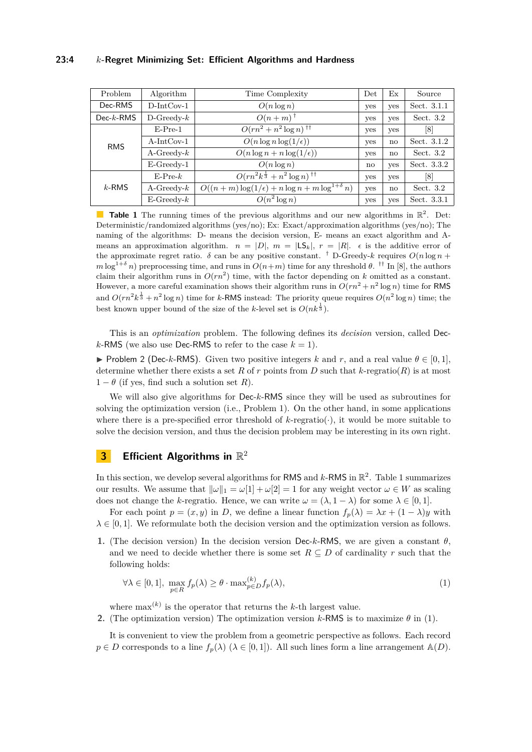#### **23:4** *k***-Regret Minimizing Set: Efficient Algorithms and Hardness**

<span id="page-3-0"></span>

| Problem     | Algorithm        | Time Complexity                                       | Det        | Ex           | Source      |
|-------------|------------------|-------------------------------------------------------|------------|--------------|-------------|
| Dec-RMS     | $D-IntCov-1$     | $O(n \log n)$                                         | yes        | yes          | Sect. 3.1.1 |
| $Dec-k-RMS$ | $D$ -Greedy- $k$ | $O(n+m)^+$                                            | yes        | yes          | Sect. $3.2$ |
| <b>RMS</b>  | $E-Pre-1$        | $O(rn^2 + n^2 \log n)^{1+1}$                          | yes        | yes          | [8]         |
|             | $A-IntCov-1$     | $O(n \log n \log(1/\epsilon))$                        | <b>ves</b> | no           | Sect. 3.1.2 |
|             | $A$ -Greedy- $k$ | $O(n \log n + n \log(1/\epsilon))$                    | yes        | $\mathbf{n}$ | Sect. $3.2$ |
|             | $E$ -Greedy-1    | $O(n \log n)$                                         | no         | yes          | Sect. 3.3.2 |
| $k$ -RMS    | $E-Pre-k$        | $O(rn^2k^{\frac{1}{3}}+n^2\log n)$ <sup>††</sup>      | yes        | yes          | [8]         |
|             | $A$ -Greedy- $k$ | $O((n+m)\log(1/\epsilon)+n\log n+m\log^{1+\delta} n)$ | yes        | $\mathbf{n}$ | Sect. $3.2$ |
|             | $E$ -Greedy- $k$ | $O(n^2 \log n)$                                       | yes        | yes          | Sect. 3.3.1 |

**Table 1** The running times of the previous algorithms and our new algorithms in  $\mathbb{R}^2$ . Det: Deterministic/randomized algorithms (yes/no); Ex: Exact/approximation algorithms (yes/no); The naming of the algorithms: D- means the decision version, E- means an exact algorithm and Ameans an approximation algorithm.  $n = |D|$ ,  $m = |LS_k|$ ,  $r = |R|$ .  $\epsilon$  is the additive error of the approximate regret ratio. *δ* can be any positive constant. <sup>†</sup> D-Greedy-*k* requires  $O(n \log n + 1)$  $m \log^{1+\delta} n$ ) preprocessing time, and runs in  $O(n+m)$  time for any threshold  $\theta$ . <sup>††</sup> In [\[8\]](#page-16-8), the authors claim their algorithm runs in  $O(rn^2)$  time, with the factor depending on k omitted as a constant. However, a more careful examination shows their algorithm runs in  $O(rn^2 + n^2 \log n)$  time for RMS and  $O(rn^2k^{\frac{1}{3}} + n^2 \log n)$  time for *k*-RMS instead: The priority queue requires  $O(n^2 \log n)$  time; the best known upper bound of the size of the *k*-level set is  $O(nk^{\frac{1}{3}})$ .

This is an *optimization* problem. The following defines its *decision* version, called Dec*k*-RMS (we also use Dec-RMS to refer to the case  $k = 1$ ).

**►** Problem 2 (Dec-*k*-RMS). Given two positive integers *k* and *r*, and a real value  $\theta \in [0, 1]$ , determine whether there exists a set R of r points from D such that  $k$ -regratio(R) is at most  $1 - \theta$  (if yes, find such a solution set R).

We will also give algorithms for Dec-*k*-RMS since they will be used as subroutines for solving the optimization version (i.e., Problem [1\)](#page-2-2). On the other hand, in some applications where there is a pre-specified error threshold of  $k$ -regratio( $\cdot$ ), it would be more suitable to solve the decision version, and thus the decision problem may be interesting in its own right.

# <span id="page-3-1"></span>**3** Efficient Algorithms in  $\mathbb{R}^2$

In this section, we develop several algorithms for RMS and  $k$ -RMS in  $\mathbb{R}^2$ . Table [1](#page-3-0) summarizes our results. We assume that  $\|\omega\|_1 = \omega[1] + \omega[2] = 1$  for any weight vector  $\omega \in W$  as scaling does not change the *k*-regratio. Hence, we can write  $\omega = (\lambda, 1 - \lambda)$  for some  $\lambda \in [0, 1]$ .

For each point  $p = (x, y)$  in *D*, we define a linear function  $f_p(\lambda) = \lambda x + (1 - \lambda)y$  with  $\lambda \in [0, 1]$ . We reformulate both the decision version and the optimization version as follows.

**1.** (The decision version) In the decision version Dec-*k*-RMS, we are given a constant *θ*, and we need to decide whether there is some set  $R \subseteq D$  of cardinality r such that the following holds:

<span id="page-3-2"></span>
$$
\forall \lambda \in [0, 1], \max_{p \in R} f_p(\lambda) \ge \theta \cdot \max_{p \in D}^{(k)} f_p(\lambda), \tag{1}
$$

where  $\max^{(k)}$  is the operator that returns the *k*-th largest value.

**2.** (The optimization version) The optimization version  $k$ -RMS is to maximize  $\theta$  in [\(1\)](#page-3-2).

It is convenient to view the problem from a geometric perspective as follows. Each record  $p \in D$  corresponds to a line  $f_p(\lambda)$  ( $\lambda \in [0,1]$ ). All such lines form a line arrangement  $\mathbb{A}(D)$ .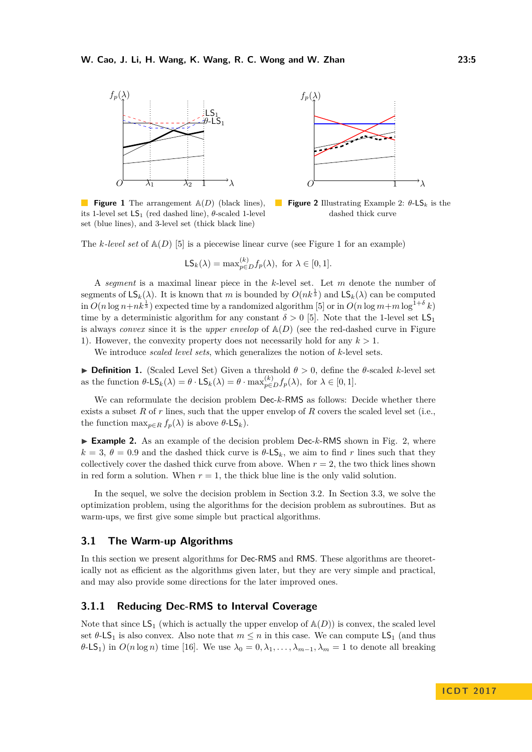<span id="page-4-2"></span>

**Figure 1** The arrangement  $\mathbb{A}(D)$  (black lines), its 1-level set  $LS_1$  (red dashed line),  $\theta$ -scaled 1-level set (blue lines), and 3-level set (thick black line)

**Figure 2** Illustrating Example [2:](#page-4-1) *θ*-LS*<sup>k</sup>* is the dashed thick curve

The *k*-level set of  $\mathbb{A}(D)$  [\[5\]](#page-16-10) is a piecewise linear curve (see Figure [1](#page-4-2) for an example)

$$
\mathsf{LS}_k(\lambda) = \max_{p \in D}^{(k)} f_p(\lambda), \text{ for } \lambda \in [0, 1].
$$

A *segment* is a maximal linear piece in the *k*-level set. Let *m* denote the number of segments of  $\mathsf{LS}_k(\lambda)$ . It is known that *m* is bounded by  $O(nk^{\frac{1}{3}})$  and  $\mathsf{LS}_k(\lambda)$  can be computed  $\sin O(n \log n + nk^{\frac{1}{3}})$  expected time by a randomized algorithm [\[5\]](#page-16-10) or  $\sin O(n \log m + m \log^{1+\delta} k)$ time by a deterministic algorithm for any constant  $\delta > 0$  [\[5\]](#page-16-10). Note that the 1-level set  $\mathsf{LS}_1$ is always *convex* since it is the *upper envelop* of  $A(D)$  (see the red-dashed curve in Figure [1\)](#page-4-2). However, the convexity property does not necessarily hold for any  $k > 1$ .

We introduce *scaled level sets*, which generalizes the notion of *k*-level sets.

**Definition 1.** (Scaled Level Set) Given a threshold  $\theta > 0$ , define the  $\theta$ -scaled *k*-level set as the function  $\theta$ -LS<sub>k</sub>( $\lambda$ ) =  $\theta$  · LS<sub>k</sub>( $\lambda$ ) =  $\theta$  · max $_{p \in D}^{(k)} f_p(\lambda)$ , for  $\lambda \in [0,1]$ *.* 

We can reformulate the decision problem Dec-*k*-RMS as follows: Decide whether there exists a subset *R* of *r* lines, such that the upper envelop of *R* covers the scaled level set (i.e., the function  $\max_{p \in R} f_p(\lambda)$  is above  $\theta$ -LS<sub>k</sub>).

<span id="page-4-1"></span>► Example 2. As an example of the decision problem Dec-*k*-RMS shown in Fig. [2,](#page-4-2) where  $k = 3, \theta = 0.9$  and the dashed thick curve is  $\theta$ -LS<sub>k</sub>, we aim to find *r* lines such that they collectively cover the dashed thick curve from above. When  $r = 2$ , the two thick lines shown in red form a solution. When  $r = 1$ , the thick blue line is the only valid solution.

In the sequel, we solve the decision problem in Section [3.2.](#page-5-0) In Section [3.3,](#page-9-1) we solve the optimization problem, using the algorithms for the decision problem as subroutines. But as warm-ups, we first give some simple but practical algorithms.

#### **3.1 The Warm-up Algorithms**

In this section we present algorithms for Dec-RMS and RMS. These algorithms are theoretically not as efficient as the algorithms given later, but they are very simple and practical, and may also provide some directions for the later improved ones.

# <span id="page-4-0"></span>**3.1.1 Reducing Dec-RMS to Interval Coverage**

Note that since  $LS_1$  (which is actually the upper envelop of  $\mathbb{A}(D)$ ) is convex, the scaled level set  $\theta$ -LS<sub>1</sub> is also convex. Also note that  $m \leq n$  in this case. We can compute LS<sub>1</sub> (and thus *θ*-LS<sub>1</sub>) in  $O(n \log n)$  time [\[16\]](#page-16-11). We use  $\lambda_0 = 0, \lambda_1, \ldots, \lambda_{m-1}, \lambda_m = 1$  to denote all breaking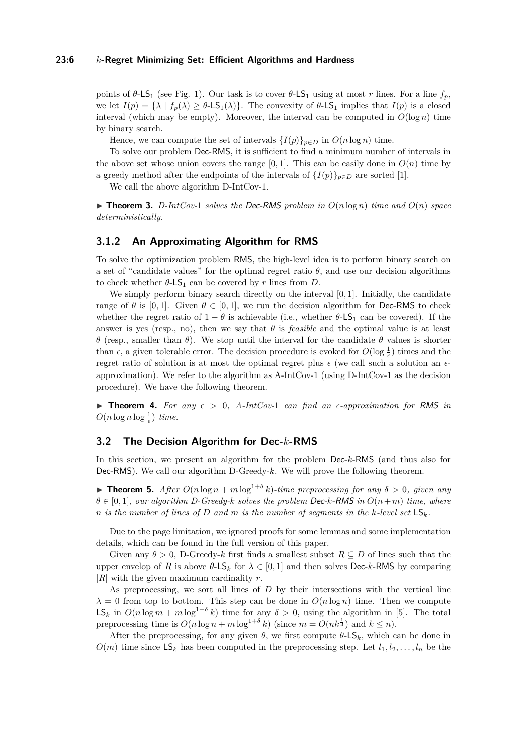#### **23:6** *k***-Regret Minimizing Set: Efficient Algorithms and Hardness**

points of  $θ$ -LS<sub>1</sub> (see Fig. [1\)](#page-4-2). Our task is to cover  $θ$ -LS<sub>1</sub> using at most *r* lines. For a line  $f_p$ , we let  $I(p) = {\lambda | f_p(\lambda) \geq \theta - LS_1(\lambda)}$ . The convexity of  $\theta - LS_1$  implies that  $I(p)$  is a closed interval (which may be empty). Moreover, the interval can be computed in  $O(\log n)$  time by binary search.

Hence, we can compute the set of intervals  $\{I(p)\}_{p\in D}$  in  $O(n \log n)$  time.

To solve our problem Dec-RMS, it is sufficient to find a minimum number of intervals in the above set whose union covers the range [0, 1]. This can be easily done in  $O(n)$  time by a greedy method after the endpoints of the intervals of  $\{I(p)\}_{p\in D}$  are sorted [\[1\]](#page-16-12).

We call the above algorithm D-IntCov-1.

 $\triangleright$  **Theorem 3.** *D-IntCov-1 solves the Dec-RMS problem in*  $O(n \log n)$  *time and*  $O(n)$  *space deterministically.*

#### <span id="page-5-1"></span>**3.1.2 An Approximating Algorithm for RMS**

To solve the optimization problem RMS, the high-level idea is to perform binary search on a set of "candidate values" for the optimal regret ratio  $\theta$ , and use our decision algorithms to check whether  $\theta$ -LS<sub>1</sub> can be covered by *r* lines from *D*.

We simply perform binary search directly on the interval [0*,* 1]. Initially, the candidate range of  $\theta$  is [0, 1]. Given  $\theta \in [0, 1]$ , we run the decision algorithm for Dec-RMS to check whether the regret ratio of  $1 - \theta$  is achievable (i.e., whether  $\theta$ -LS<sub>1</sub> can be covered). If the answer is yes (resp., no), then we say that  $\theta$  is *feasible* and the optimal value is at least *θ* (resp., smaller than *θ*). We stop until the interval for the candidate *θ* values is shorter than  $\epsilon$ , a given tolerable error. The decision procedure is evoked for  $O(\log \frac{1}{\epsilon})$  times and the regret ratio of solution is at most the optimal regret plus  $\epsilon$  (we call such a solution an  $\epsilon$ approximation). We refer to the algorithm as A-IntCov-1 (using D-IntCov-1 as the decision procedure). We have the following theorem.

**Findmergent 4.** For any  $\epsilon > 0$ , A-IntCov-1 can find an  $\epsilon$ -approximation for RMS in  $O(n \log n \log \frac{1}{\epsilon})$  *time.* 

#### <span id="page-5-0"></span>**3.2 The Decision Algorithm for Dec-***k***-RMS**

In this section, we present an algorithm for the problem Dec-*k*-RMS (and thus also for Dec-RMS). We call our algorithm D-Greedy-*k*. We will prove the following theorem.

**Find 15.** After  $O(n \log n + m \log^{1+\delta} k)$ -time preprocessing for any  $\delta > 0$ , given any *θ* ∈ [0*,* 1]*, our algorithm D-Greedy-k solves the problem* Dec-*k*-RMS *in O*(*n*+*m*) *time, where n* is the number of lines of *D* and *m* is the number of segments in the  $k$ -level set  $\mathsf{LS}_k$ .

Due to the page limitation, we ignored proofs for some lemmas and some implementation details, which can be found in the full version of this paper.

Given any  $\theta > 0$ , D-Greedy-k first finds a smallest subset  $R \subseteq D$  of lines such that the upper envelop of *R* is above  $\theta$ -LS<sub>k</sub> for  $\lambda \in [0,1]$  and then solves Dec-*k*-RMS by comparing |*R*| with the given maximum cardinality *r*.

As preprocessing, we sort all lines of *D* by their intersections with the vertical line  $\lambda = 0$  from top to bottom. This step can be done in  $O(n \log n)$  time. Then we compute  $\mathsf{LS}_k$  in  $O(n \log m + m \log^{1+\delta} k)$  time for any  $\delta > 0$ , using the algorithm in [\[5\]](#page-16-10). The total preprocessing time is  $O(n \log n + m \log^{1+\delta} k)$  (since  $m = O(nk^{\frac{1}{3}})$  and  $k \leq n$ ).

After the preprocessing, for any given  $\theta$ , we first compute  $\theta$ -LS<sub>k</sub>, which can be done in  $O(m)$  time since  $LS_k$  has been computed in the preprocessing step. Let  $l_1, l_2, \ldots, l_n$  be the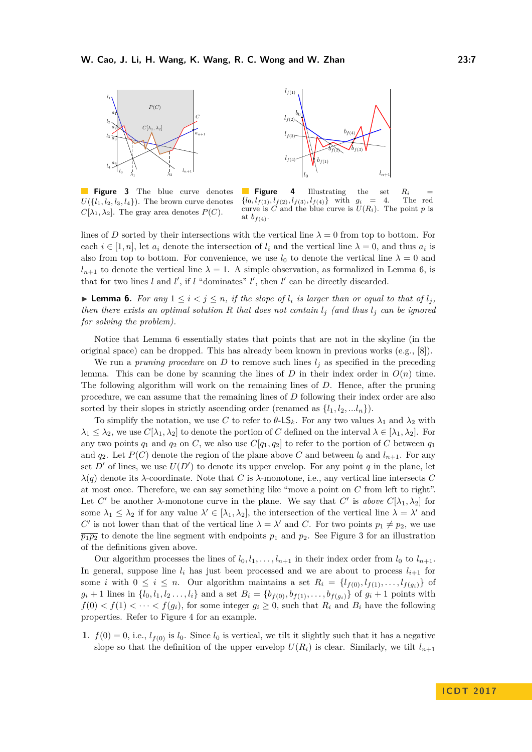<span id="page-6-1"></span>

**Figure 3** The blue curve denotes  $U({l_1, l_2, l_3, l_4})$ . The brown curve denotes  $C[\lambda_1, \lambda_2]$ . The gray area denotes  $P(C)$ .

**Figure 4** Illustrating the set  $R_i$  ${l_0, l_{f(1)}, l_{f(2)}, l_{f(3)}, l_{f(4)}$  with  $g_i = 4$ . The red curve is *C* and the blue curve is  $U(R_i)$ . The point *p* is at  $b_{f(4)}$ .

 $l_{n+1}$ 

lines of *D* sorted by their intersections with the vertical line  $\lambda = 0$  from top to bottom. For each  $i \in [1, n]$ , let  $a_i$  denote the intersection of  $l_i$  and the vertical line  $\lambda = 0$ , and thus  $a_i$  is also from top to bottom. For convenience, we use  $l_0$  to denote the vertical line  $\lambda = 0$  and  $l_{n+1}$  to denote the vertical line  $\lambda = 1$ . A simple observation, as formalized in Lemma [6,](#page-6-0) is that for two lines  $l$  and  $l'$ , if  $l$  "dominates"  $l'$ , then  $l'$  can be directly discarded.

<span id="page-6-0"></span>▶ **Lemma 6.** *For any*  $1 \leq i < j \leq n$ *, if the slope of*  $l_i$  *is larger than or equal to that of*  $l_j$ *, then there exists an optimal solution R that does not contain*  $l_i$  *(and thus*  $l_i$  *can be ignored for solving the problem).*

Notice that Lemma [6](#page-6-0) essentially states that points that are not in the skyline (in the original space) can be dropped. This has already been known in previous works (e.g., [\[8\]](#page-16-8)).

We run a *pruning procedure* on  $D$  to remove such lines  $l_j$  as specified in the preceding lemma. This can be done by scanning the lines of  $D$  in their index order in  $O(n)$  time. The following algorithm will work on the remaining lines of *D*. Hence, after the pruning procedure, we can assume that the remaining lines of *D* following their index order are also sorted by their slopes in strictly ascending order (renamed as  $\{l_1, l_2, \ldots l_n\}$ ).

To simplify the notation, we use C to refer to  $\theta$ -LS<sub>k</sub>. For any two values  $\lambda_1$  and  $\lambda_2$  with  $\lambda_1 \leq \lambda_2$ , we use  $C[\lambda_1, \lambda_2]$  to denote the portion of *C* defined on the interval  $\lambda \in [\lambda_1, \lambda_2]$ . For any two points  $q_1$  and  $q_2$  on *C*, we also use  $C[q_1, q_2]$  to refer to the portion of *C* between  $q_1$ and  $q_2$ . Let  $P(C)$  denote the region of the plane above C and between  $l_0$  and  $l_{n+1}$ . For any set  $D'$  of lines, we use  $U(D')$  to denote its upper envelop. For any point  $q$  in the plane, let  $λ(q)$  denote its  $λ$ -coordinate. Note that *C* is  $λ$ -monotone, i.e., any vertical line intersects *C* at most once. Therefore, we can say something like "move a point on *C* from left to right". Let *C*<sup> $\prime$ </sup> be another *λ*-monotone curve in the plane. We say that *C*<sup> $\prime$ </sup> is *above C*[ $\lambda_1$ ,  $\lambda_2$ ] for some  $\lambda_1 \leq \lambda_2$  if for any value  $\lambda' \in [\lambda_1, \lambda_2]$ , the intersection of the vertical line  $\lambda = \lambda'$  and *C*<sup>*C*</sup> is not lower than that of the vertical line  $\lambda = \lambda'$  and *C*. For two points  $p_1 \neq p_2$ , we use  $\overline{p_1p_2}$  to denote the line segment with endpoints  $p_1$  and  $p_2$ . See Figure [3](#page-6-1) for an illustration of the definitions given above.

Our algorithm processes the lines of  $l_0, l_1, \ldots, l_{n+1}$  in their index order from  $l_0$  to  $l_{n+1}$ . In general, suppose line  $l_i$  has just been processed and we are about to process  $l_{i+1}$  for some *i* with  $0 \le i \le n$ . Our algorithm maintains a set  $R_i = \{l_{f(0)}, l_{f(1)}, \ldots, l_{f(q_i)}\}$  of  $g_i + 1$  lines in  $\{l_0, l_1, l_2, \ldots, l_i\}$  and a set  $B_i = \{b_{f(0)}, b_{f(1)}, \ldots, b_{f(g_i)}\}$  of  $g_i + 1$  points with  $f(0) < f(1) < \cdots < f(g_i)$ , for some integer  $g_i \geq 0$ , such that  $R_i$  and  $B_i$  have the following properties. Refer to Figure [4](#page-6-1) for an example.

**1.**  $f(0) = 0$ , i.e.,  $l_{f(0)}$  is  $l_0$ . Since  $l_0$  is vertical, we tilt it slightly such that it has a negative slope so that the definition of the upper envelop  $U(R_i)$  is clear. Similarly, we tilt  $l_{n+1}$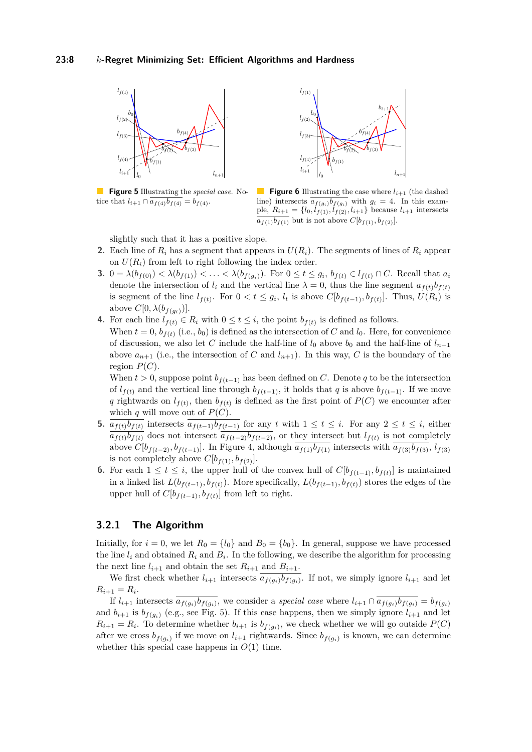<span id="page-7-0"></span>

**Figure 5** Illustrating the *special case*. Notice that  $l_{i+1} \cap \overline{a_{f(4)}b_{f(4)}} = b_{f(4)}$ .



**Figure 6** Illustrating the case where  $l_{i+1}$  (the dashed line) intersects  $a_{f(g_i)}b_{f(g_i)}$  with  $g_i = 4$ . In this example,  $R_{i+1} = \{l_0, l_{f(1)}, l_{f(2)}, l_{i+1}\}$  because  $l_{i+1}$  intersects  $\overline{a_{f(1)}b_{f(1)}}$  but is not above  $C[b_{f(1)}, b_{f(2)}].$ 

slightly such that it has a positive slope.

- **2.** Each line of  $R_i$  has a segment that appears in  $U(R_i)$ . The segments of lines of  $R_i$  appear on  $U(R_i)$  from left to right following the index order.
- **3.**  $0 = \lambda(b_{f(0)}) < \lambda(b_{f(1)}) < ... < \lambda(b_{f(g_i)})$ . For  $0 \le t \le g_i$ ,  $b_{f(t)} \in l_{f(t)} \cap C$ . Recall that  $a_i$ denote the intersection of  $l_i$  and the vertical line  $\lambda = 0$ , thus the line segment  $a_{f(t)}b_{f(t)}$ is segment of the line  $l_{f(t)}$ . For  $0 < t \leq g_i$ ,  $l_t$  is above  $C[b_{f(t-1)}, b_{f(t)}]$ . Thus,  $U(R_i)$  is above  $C[0, \lambda(b_{f(g_i)})]$ .
- **4.** For each line  $l_{f(t)} \in R_i$  with  $0 \le t \le i$ , the point  $b_{f(t)}$  is defined as follows. When  $t = 0$ ,  $b_{f(t)}$  (i.e.,  $b_0$ ) is defined as the intersection of *C* and  $l_0$ . Here, for convenience of discussion, we also let *C* include the half-line of  $l_0$  above  $b_0$  and the half-line of  $l_{n+1}$ above  $a_{n+1}$  (i.e., the intersection of *C* and  $l_{n+1}$ ). In this way, *C* is the boundary of the region  $P(C)$ .

When  $t > 0$ , suppose point  $b_{f(t-1)}$  has been defined on *C*. Denote q to be the intersection of  $l_{f(t)}$  and the vertical line through  $b_{f(t-1)}$ , it holds that *q* is above  $b_{f(t-1)}$ . If we move *q* rightwards on  $l_{f(t)}$ , then  $b_{f(t)}$  is defined as the first point of  $P(C)$  we encounter after which  $q$  will move out of  $P(C)$ .

- **5.**  $a_{f(t)}b_{f(t)}$  intersects  $a_{f(t-1)}b_{f(t-1)}$  for any *t* with 1 ≤ *t* ≤ *i*. For any 2 ≤ *t* ≤ *i*, either  $a_{f(t)}b_{f(t)}$  does not intersect  $a_{f(t-2)}b_{f(t-2)}$ , or they intersect but  $l_{f(t)}$  is not completely above  $C[b_{f(t-2)}, b_{f(t-1)}]$ . In Figure [4,](#page-6-1) although  $\overline{a_{f(1)}b_{f(1)}}$  intersects with  $\overline{a_{f(3)}b_{f(3)}}, l_{f(3)}$ is not completely above  $C[b_{f(1)}, b_{f(2)}].$
- **6.** For each  $1 \le t \le i$ , the upper hull of the convex hull of  $C[b_{f(t-1)}, b_{f(t)}]$  is maintained in a linked list  $L(b_{f(t-1)}, b_{f(t)})$ . More specifically,  $L(b_{f(t-1)}, b_{f(t)})$  stores the edges of the upper hull of  $C[b_{f(t-1)}, b_{f(t)}]$  from left to right.

# **3.2.1 The Algorithm**

Initially, for  $i = 0$ , we let  $R_0 = \{l_0\}$  and  $B_0 = \{b_0\}$ . In general, suppose we have processed the line  $l_i$  and obtained  $R_i$  and  $B_i$ . In the following, we describe the algorithm for processing the next line  $l_{i+1}$  and obtain the set  $R_{i+1}$  and  $B_{i+1}$ .

We first check whether  $l_{i+1}$  intersects  $a_{f(g_i)}b_{f(g_i)}$ . If not, we simply ignore  $l_{i+1}$  and let  $R_{i+1} = R_i.$ 

If  $l_{i+1}$  intersects  $a_{f(g_i)}b_{f(g_i)}$ , we consider a special case where  $l_{i+1} \cap a_{f(g_i)}b_{f(g_i)} = b_{f(g_i)}$ and  $b_{i+1}$  is  $b_{f(q_i)}$  (e.g., see Fig. [5\)](#page-7-0). If this case happens, then we simply ignore  $l_{i+1}$  and let  $R_{i+1} = R_i$ . To determine whether  $b_{i+1}$  is  $b_{f(g_i)}$ , we check whether we will go outside  $P(C)$ after we cross  $b_{f(g_i)}$  if we move on  $l_{i+1}$  rightwards. Since  $b_{f(g_i)}$  is known, we can determine whether this special case happens in  $O(1)$  time.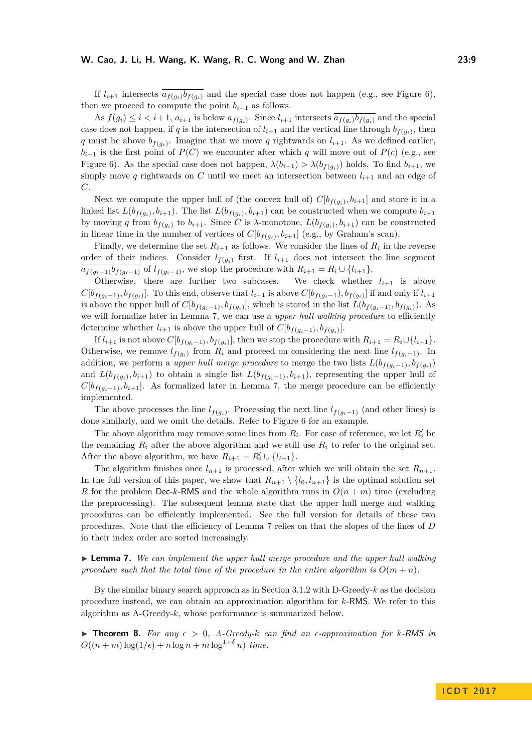If  $l_{i+1}$  intersects  $\overline{a_{f(g_i)}b_{f(g_i)}}$  and the special case does not happen (e.g., see Figure [6\)](#page-7-0), then we proceed to compute the point  $b_{i+1}$  as follows.

As  $f(g_i) \leq i < i+1$ ,  $a_{i+1}$  is below  $a_{f(g_i)}$ . Since  $l_{i+1}$  intersects  $a_{f(g_i)}b_{f(g_i)}$  and the special case does not happen, if *q* is the intersection of  $l_{i+1}$  and the vertical line through  $b_{f(g_i)}$ , then *q* must be above  $b_{f(g_i)}$ . Imagine that we move *q* rightwards on  $l_{i+1}$ . As we defined earlier,  $b_{i+1}$  is the first point of  $P(C)$  we encounter after which *q* will move out of  $P(c)$  (e.g., see Figure [6\)](#page-7-0). As the special case does not happen,  $\lambda(b_{i+1}) > \lambda(b_{f(a_i)})$  holds. To find  $b_{i+1}$ , we simply move q rightwards on C until we meet an intersection between  $l_{i+1}$  and an edge of *C*.

Next we compute the upper hull of (the convex hull of)  $C[b_{f(g_i)}, b_{i+1}]$  and store it in a linked list  $L(b_{f(g_i)}, b_{i+1})$ . The list  $L(b_{f(g_i)}, b_{i+1})$  can be constructed when we compute  $b_{i+1}$ by moving *q* from  $b_{f(g_i)}$  to  $b_{i+1}$ . Since *C* is  $\lambda$ -monotone,  $L(b_{f(g_i)}, b_{i+1})$  can be constructed in linear time in the number of vertices of  $C[b_{f(g_i)}, b_{i+1}]$  (e.g., by Graham's scan).

Finally, we determine the set  $R_{i+1}$  as follows. We consider the lines of  $R_i$  in the reverse order of their indices. Consider  $l_{f(q_i)}$  first. If  $l_{i+1}$  does not intersect the line segment  $\overline{a_{f(q_i-1)}b_{f(q_i-1)}}$  of  $l_{f(q_i-1)}$ , we stop the procedure with  $R_{i+1} = R_i \cup \{l_{i+1}\}.$ 

Otherwise, there are further two subcases. We check whether  $l_{i+1}$  is above  $C[b_{f(g_i-1)}, b_{f(g_i)}].$  To this end, observe that  $l_{i+1}$  is above  $C[b_{f(g_i-1)}, b_{f(g_i)}]$  if and only if  $l_{i+1}$ is above the upper hull of  $C[b_{f(g_i-1)}, b_{f(g_i)}],$  which is stored in the list  $L(b_{f(g_i-1)}, b_{f(g_i)}).$  As we will formalize later in Lemma [7,](#page-8-0) we can use a *upper hull walking procedure* to efficiently determine whether  $l_{i+1}$  is above the upper hull of  $C[b_{f(g_i-1)}, b_{f(g_i)}].$ 

If  $l_{i+1}$  is not above  $C[b_{f(g_i-1)}, b_{f(g_i)}]$ , then we stop the procedure with  $R_{i+1} = R_i \cup \{l_{i+1}\}.$ Otherwise, we remove  $l_{f(g_i)}$  from  $R_i$  and proceed on considering the next line  $l_{f(g_i-1)}$ . In addition, we perform a *upper hull merge procedure* to merge the two lists  $L(b_{f(q_i-1)}, b_{f(q_i)})$ and  $L(b_{f(g_i)}, b_{i+1})$  to obtain a single list  $L(b_{f(g_i-1)}, b_{i+1})$ , representing the upper hull of  $C[b_{f(q_i-1)}, b_{i+1}]$ . As formalized later in Lemma [7,](#page-8-0) the merge procedure can be efficiently implemented.

The above processes the line  $l_{f(g_i)}$ . Processing the next line  $l_{f(g_i-1)}$  (and other lines) is done similarly, and we omit the details. Refer to Figure [6](#page-7-0) for an example.

The above algorithm may remove some lines from  $R_i$ . For ease of reference, we let  $R'_i$  be the remaining  $R_i$  after the above algorithm and we still use  $R_i$  to refer to the original set. After the above algorithm, we have  $R_{i+1} = R'_i \cup \{l_{i+1}\}.$ 

The algorithm finishes once  $l_{n+1}$  is processed, after which we will obtain the set  $R_{n+1}$ . In the full version of this paper, we show that  $R_{n+1} \setminus \{l_0, l_{n+1}\}\$  is the optimal solution set *R* for the problem Dec-*k*-RMS and the whole algorithm runs in  $O(n+m)$  time (excluding the preprocessing). The subsequent lemma state that the upper hull merge and walking procedures can be efficiently implemented. See the full version for details of these two procedures. Note that the efficiency of Lemma [7](#page-8-0) relies on that the slopes of the lines of *D* in their index order are sorted increasingly.

<span id="page-8-0"></span>► **Lemma 7.** We can implement the upper hull merge procedure and the upper hull walking procedure such that the total time of the procedure in the entire algorithm is  $O(m+n)$ .

By the similar binary search approach as in Section [3.1.2](#page-5-1) with D-Greedy-*k* as the decision procedure instead, we can obtain an approximation algorithm for *k*-RMS. We refer to this algorithm as A-Greedy-*k*, whose performance is summarized below.

**Theorem 8.** For any  $\epsilon > 0$ , A-Greedy-k can find an  $\epsilon$ -approximation for k-RMS in  $O((n + m) \log(1/\epsilon) + n \log n + m \log^{1+\delta} n)$  *time.*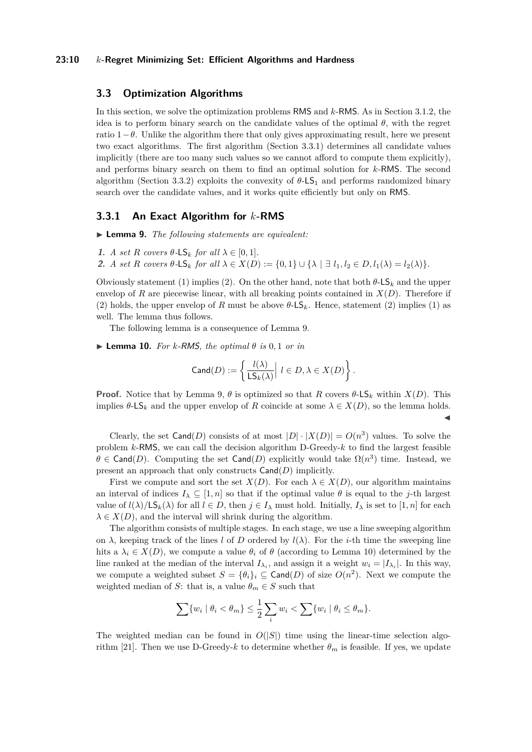#### **23:10** *k***-Regret Minimizing Set: Efficient Algorithms and Hardness**

# <span id="page-9-1"></span>**3.3 Optimization Algorithms**

In this section, we solve the optimization problems RMS and *k*-RMS. As in Section [3.1.2,](#page-5-1) the idea is to perform binary search on the candidate values of the optimal  $\theta$ , with the regret ratio  $1-\theta$ . Unlike the algorithm there that only gives approximating result, here we present two exact algorithms. The first algorithm (Section [3.3.1\)](#page-9-0) determines all candidate values implicitly (there are too many such values so we cannot afford to compute them explicitly), and performs binary search on them to find an optimal solution for *k*-RMS. The second algorithm (Section [3.3.2\)](#page-10-0) exploits the convexity of *θ*-LS<sup>1</sup> and performs randomized binary search over the candidate values, and it works quite efficiently but only on RMS.

#### <span id="page-9-0"></span>**3.3.1 An Exact Algorithm for** *k***-RMS**

<span id="page-9-2"></span>I **Lemma 9.** *The following statements are equivalent:*

**1.** *A set R covers*  $\theta$ -LS<sub>*k*</sub> *for all*  $\lambda \in [0, 1]$ *.* 

2. A set R covers  $\theta$ -LS<sub>k</sub> for all  $\lambda \in X(D) := \{0,1\} \cup \{\lambda \mid \exists l_1, l_2 \in D, l_1(\lambda) = l_2(\lambda)\}.$ 

Obviously statement (1) implies (2). On the other hand, note that both  $\theta$ -LS<sub>k</sub> and the upper envelop of *R* are piecewise linear, with all breaking points contained in  $X(D)$ . Therefore if (2) holds, the upper envelop of *R* must be above  $\theta$ -LS<sub>k</sub>. Hence, statement (2) implies (1) as well. The lemma thus follows.

The following lemma is a consequence of Lemma [9.](#page-9-2)

<span id="page-9-3"></span> $\blacktriangleright$  **Lemma 10.** For *k*-RMS, the optimal  $\theta$  is 0,1 or in

$$
\operatorname{Cand}(D):=\left\{\frac{l(\lambda)}{{\sf LS}_k(\lambda)}\Big|\ l\in D, \lambda\in X(D)\right\}.
$$

**Proof.** Notice that by Lemma [9,](#page-9-2)  $\theta$  is optimized so that *R* covers  $\theta$ -LS<sub>*k*</sub> within *X*(*D*). This implies  $\theta$ -LS<sub>k</sub> and the upper envelop of R coincide at some  $\lambda \in X(D)$ , so the lemma holds.  $\blacktriangleleft$ 

Clearly, the set  $\text{Cand}(D)$  consists of at most  $|D| \cdot |X(D)| = O(n^3)$  values. To solve the problem *k*-RMS, we can call the decision algorithm D-Greedy-*k* to find the largest feasible  $\theta \in \text{Cand}(D)$ . Computing the set  $\text{Cand}(D)$  explicitly would take  $\Omega(n^3)$  time. Instead, we present an approach that only constructs Cand(*D*) implicitly.

First we compute and sort the set  $X(D)$ . For each  $\lambda \in X(D)$ , our algorithm maintains an interval of indices  $I_\lambda \subseteq [1, n]$  so that if the optimal value  $\theta$  is equal to the *j*-th largest value of  $l(\lambda)/\mathsf{LS}_k(\lambda)$  for all  $l \in D$ , then  $j \in I_\lambda$  must hold. Initially,  $I_\lambda$  is set to [1, *n*] for each  $\lambda \in X(D)$ , and the interval will shrink during the algorithm.

The algorithm consists of multiple stages. In each stage, we use a line sweeping algorithm on  $\lambda$ , keeping track of the lines *l* of *D* ordered by  $l(\lambda)$ . For the *i*-th time the sweeping line hits a  $\lambda_i \in X(D)$ , we compute a value  $\theta_i$  of  $\theta$  (according to Lemma [10\)](#page-9-3) determined by the line ranked at the median of the interval  $I_{\lambda_i}$ , and assign it a weight  $w_i = |I_{\lambda_i}|$ . In this way, we compute a weighted subset  $S = {\theta_i}_i \subseteq \text{Cand}(D)$  of size  $O(n^2)$ . Next we compute the weighted median of *S*: that is, a value  $\theta_m \in S$  such that

$$
\sum \{w_i \mid \theta_i < \theta_m\} \leq \frac{1}{2} \sum_i w_i < \sum \{w_i \mid \theta_i \leq \theta_m\}.
$$

The weighted median can be found in  $O(|S|)$  time using the linear-time selection algo-rithm [\[21\]](#page-16-13). Then we use D-Greedy- $k$  to determine whether  $\theta_m$  is feasible. If yes, we update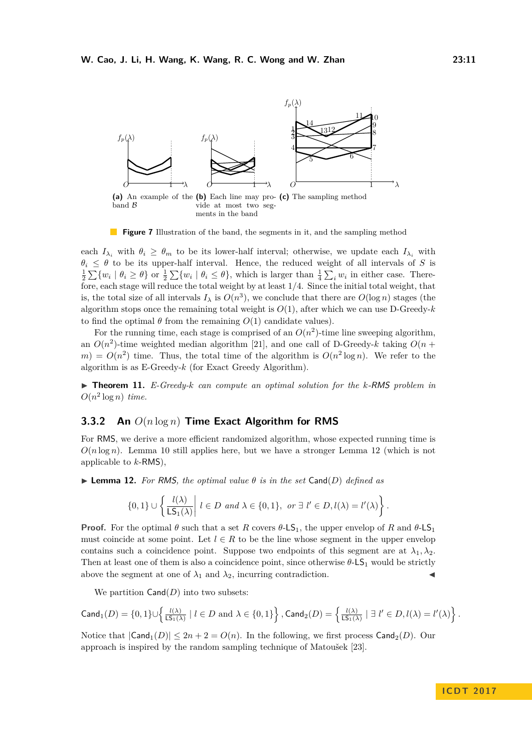

<span id="page-10-4"></span><span id="page-10-3"></span><span id="page-10-2"></span>**Figure 7** Illustration of the band, the segments in it, and the sampling method

each  $I_{\lambda_i}$  with  $\theta_i \geq \theta_m$  to be its lower-half interval; otherwise, we update each  $I_{\lambda_i}$  with  $\theta_i \leq \theta$  to be its upper-half interval. Hence, the reduced weight of all intervals of *S* is  $\frac{1}{2}\sum\{w_i \mid \theta_i \geq \theta\}$  or  $\frac{1}{2}\sum\{w_i \mid \theta_i \leq \theta\}$ , which is larger than  $\frac{1}{4}\sum_i w_i$  in either case. Therefore, each stage will reduce the total weight by at least 1*/*4. Since the initial total weight, that is, the total size of all intervals  $I_\lambda$  is  $O(n^3)$ , we conclude that there are  $O(\log n)$  stages (the algorithm stops once the remaining total weight is  $O(1)$ , after which we can use D-Greedy- $k$ to find the optimal  $\theta$  from the remaining  $O(1)$  candidate values).

For the running time, each stage is comprised of an  $O(n^2)$ -time line sweeping algorithm, an  $O(n^2)$ -time weighted median algorithm [\[21\]](#page-16-13), and one call of D-Greedy-k taking  $O(n +$  $m = O(n^2)$  time. Thus, the total time of the algorithm is  $O(n^2 \log n)$ . We refer to the algorithm is as E-Greedy-*k* (for Exact Greedy Algorithm).

▶ **Theorem 11.** *E-Greedy-k can compute an optimal solution for the k-RMS problem in*  $O(n^2 \log n)$  *time.* 

# <span id="page-10-0"></span>**3.3.2 An** *O*(*n* log *n*) **Time Exact Algorithm for RMS**

For RMS, we derive a more efficient randomized algorithm, whose expected running time is  $O(n \log n)$ . Lemma [10](#page-9-3) still applies here, but we have a stronger Lemma [12](#page-10-1) (which is not applicable to *k*-RMS),

<span id="page-10-1"></span> $\triangleright$  **Lemma 12.** For RMS, the optimal value  $\theta$  is in the set Cand(*D*) defined as

$$
\{0,1\} \cup \left\{ \frac{l(\lambda)}{\mathsf{LS}_1(\lambda)} \middle| l \in D \text{ and } \lambda \in \{0,1\}, \text{ or } \exists l' \in D, l(\lambda) = l'(\lambda) \right\}.
$$

**Proof.** For the optimal  $\theta$  such that a set *R* covers  $\theta$ -LS<sub>1</sub>, the upper envelop of *R* and  $\theta$ -LS<sub>1</sub> must coincide at some point. Let  $l \in R$  to be the line whose segment in the upper envelop contains such a coincidence point. Suppose two endpoints of this segment are at  $\lambda_1, \lambda_2$ . Then at least one of them is also a coincidence point, since otherwise  $\theta$ -LS<sub>1</sub> would be strictly above the segment at one of  $\lambda_1$  and  $\lambda_2$ , incurring contradiction.

We partition  $Cand(D)$  into two subsets:

$$
\mathsf{Cand}_1(D) = \{0,1\} \cup \left\{\tfrac{l(\lambda)}{\mathsf{LS}_1(\lambda)} \mid l \in D \text{ and } \lambda \in \{0,1\} \right\}, \mathsf{Cand}_2(D) = \left\{\tfrac{l(\lambda)}{\mathsf{LS}_1(\lambda)} \mid \exists \ l' \in D, l(\lambda) = l'(\lambda) \right\}.
$$

Notice that  $|\text{Cand}_1(D)| \leq 2n + 2 = O(n)$ . In the following, we first process  $\text{Cand}_2(D)$ . Our approach is inspired by the random sampling technique of Matoušek [\[23\]](#page-17-9).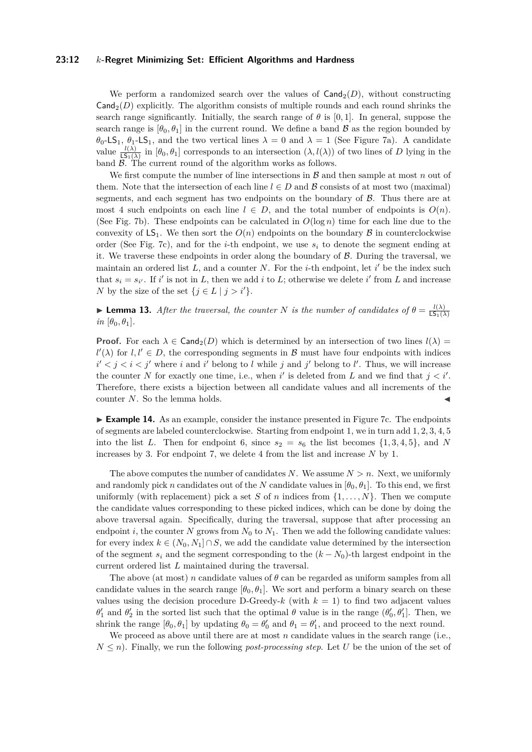#### **23:12** *k***-Regret Minimizing Set: Efficient Algorithms and Hardness**

We perform a randomized search over the values of  $Cand<sub>2</sub>(D)$ , without constructing  $\textsf{Cand}_2(D)$  explicitly. The algorithm consists of multiple rounds and each round shrinks the search range significantly. Initially, the search range of  $\theta$  is [0, 1]. In general, suppose the search range is  $[\theta_0, \theta_1]$  in the current round. We define a band  $\beta$  as the region bounded by *θ*<sub>0</sub>-LS<sub>1</sub>, *θ*<sub>1</sub>-LS<sub>1</sub>, and the two vertical lines  $λ = 0$  and  $λ = 1$  (See Figure [7a\)](#page-10-2). A candidate value  $\frac{l(\lambda)}{\mathsf{LS}_1(\lambda)}$  in  $[\theta_0, \theta_1]$  corresponds to an intersection  $(\lambda, l(\lambda))$  of two lines of *D* lying in the band  $\beta$ . The current round of the algorithm works as follows.

We first compute the number of line intersections in  $\beta$  and then sample at most  $n$  out of them. Note that the intersection of each line  $l \in D$  and B consists of at most two (maximal) segments, and each segment has two endpoints on the boundary of  $\beta$ . Thus there are at most 4 such endpoints on each line  $l \in D$ , and the total number of endpoints is  $O(n)$ . (See Fig. [7b\)](#page-10-3). These endpoints can be calculated in  $O(\log n)$  time for each line due to the convexity of  $LS_1$ . We then sort the  $O(n)$  endpoints on the boundary  $\beta$  in counterclockwise order (See Fig. [7c\)](#page-10-4), and for the *i*-th endpoint, we use  $s_i$  to denote the segment ending at it. We traverse these endpoints in order along the boundary of  $\beta$ . During the traversal, we maintain an ordered list  $L$ , and a counter  $N$ . For the *i*-th endpoint, let  $i'$  be the index such that  $s_i = s_{i'}$ . If *i'* is not in *L*, then we add *i* to *L*; otherwise we delete *i'* from *L* and increase *N* by the size of the set  $\{j \in L \mid j > i'\}.$ 

**I Lemma 13.** After the traversal, the counter N is the number of candidates of  $\theta = \frac{l(\lambda)}{15}$  $LS_1(\lambda)$  $in$  [ $\theta_0, \theta_1$ ].

**Proof.** For each  $\lambda \in \text{Cand}_2(D)$  which is determined by an intersection of two lines  $l(\lambda)$  $l'(\lambda)$  for  $l, l' \in D$ , the corresponding segments in B must have four endpoints with indices  $i' < j < i < j'$  where *i* and *i*' belong to *l* while *j* and *j*' belong to *l*'. Thus, we will increase the counter *N* for exactly one time, i.e., when *i*' is deleted from *L* and we find that  $j < i'$ . Therefore, there exists a bijection between all candidate values and all increments of the counter *N*. So the lemma holds.

► **Example 14.** As an example, consider the instance presented in Figure [7c.](#page-10-4) The endpoints of segments are labeled counterclockwise. Starting from endpoint 1, we in turn add 1*,* 2*,* 3*,* 4*,* 5 into the list *L*. Then for endpoint 6, since  $s_2 = s_6$  the list becomes  $\{1, 3, 4, 5\}$ , and *N* increases by 3. For endpoint 7, we delete 4 from the list and increase *N* by 1.

The above computes the number of candidates  $N$ . We assume  $N > n$ . Next, we uniformly and randomly pick *n* candidates out of the *N* candidate values in  $[\theta_0, \theta_1]$ . To this end, we first uniformly (with replacement) pick a set *S* of *n* indices from  $\{1, \ldots, N\}$ . Then we compute the candidate values corresponding to these picked indices, which can be done by doing the above traversal again. Specifically, during the traversal, suppose that after processing an endpoint *i*, the counter *N* grows from  $N_0$  to  $N_1$ . Then we add the following candidate values: for every index  $k \in (N_0, N_1] \cap S$ , we add the candidate value determined by the intersection of the segment  $s_i$  and the segment corresponding to the  $(k - N_0)$ -th largest endpoint in the current ordered list *L* maintained during the traversal.

The above (at most) *n* candidate values of  $\theta$  can be regarded as uniform samples from all candidate values in the search range  $[\theta_0, \theta_1]$ . We sort and perform a binary search on these values using the decision procedure D-Greedy- $k$  (with  $k = 1$ ) to find two adjacent values *θ*<sup>1</sup> and *θ*<sup>2</sup> in the sorted list such that the optimal *θ* value is in the range  $(θ'_{0}, θ'_{1})$ . Then, we shrink the range  $[\theta_0, \theta_1]$  by updating  $\theta_0 = \theta'_0$  and  $\theta_1 = \theta'_1$ , and proceed to the next round.

We proceed as above until there are at most *n* candidate values in the search range (i.e.,  $N \leq n$ . Finally, we run the following *post-processing step*. Let U be the union of the set of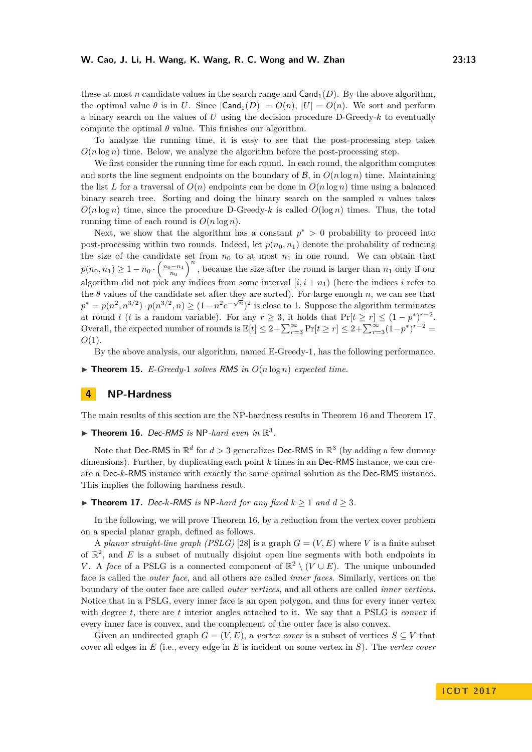these at most *n* candidate values in the search range and  $Cand<sub>1</sub>(D)$ . By the above algorithm, the optimal value  $\theta$  is in *U*. Since  $|\text{Cand}_1(D)| = O(n)$ ,  $|U| = O(n)$ . We sort and perform a binary search on the values of *U* using the decision procedure D-Greedy-*k* to eventually compute the optimal  $\theta$  value. This finishes our algorithm.

To analyze the running time, it is easy to see that the post-processing step takes  $O(n \log n)$  time. Below, we analyze the algorithm before the post-processing step.

We first consider the running time for each round. In each round, the algorithm computes and sorts the line segment endpoints on the boundary of  $\mathcal{B}$ , in  $O(n \log n)$  time. Maintaining the list L for a traversal of  $O(n)$  endpoints can be done in  $O(n \log n)$  time using a balanced binary search tree. Sorting and doing the binary search on the sampled *n* values takes  $O(n \log n)$  time, since the procedure D-Greedy-*k* is called  $O(\log n)$  times. Thus, the total running time of each round is  $O(n \log n)$ .

Next, we show that the algorithm has a constant  $p^* > 0$  probability to proceed into post-processing within two rounds. Indeed, let  $p(n_0, n_1)$  denote the probability of reducing the size of the candidate set from  $n_0$  to at most  $n_1$  in one round. We can obtain that  $p(n_0, n_1) \geq 1 - n_0 \cdot \left(\frac{n_0 - n_1}{n_0}\right)^n$ , because the size after the round is larger than *n*<sub>1</sub> only if our algorithm did not pick any indices from some interval  $[i, i + n_1]$  (here the indices *i* refer to the  $\theta$  values of the candidate set after they are sorted). For large enough *n*, we can see that  $p^* = p(n^2, n^{3/2}) \cdot p(n^{3/2}, n) \ge (1 - n^2 e^{-\sqrt{n}})^2$  is close to 1. Suppose the algorithm terminates at round *t* (*t* is a random variable). For any  $r \geq 3$ , it holds that  $Pr[t \geq r] \leq (1 - p^*)^{r-2}$ . Overall, the expected number of rounds is  $\mathbb{E}[t] \leq 2 + \sum_{r=3}^{\infty} \Pr[t \geq r] \leq 2 + \sum_{r=3}^{\infty} (1 - p^*)^{r-2} =$ *O*(1)*.*

By the above analysis, our algorithm, named E-Greedy-1, has the following performance.

 $\triangleright$  **Theorem 15.** *E-Greedy-1 solves RMS in*  $O(n \log n)$  *expected time.* 

# <span id="page-12-0"></span>**4 NP-Hardness**

The main results of this section are the NP-hardness results in Theorem [16](#page-12-1) and Theorem [17.](#page-12-2)

<span id="page-12-1"></span> $\blacktriangleright$  **Theorem 16.** Dec-RMS is NP-hard even in  $\mathbb{R}^3$ .

Note that Dec-RMS in  $\mathbb{R}^d$  for  $d > 3$  generalizes Dec-RMS in  $\mathbb{R}^3$  (by adding a few dummy dimensions). Further, by duplicating each point *k* times in an Dec-RMS instance, we can create a Dec-*k*-RMS instance with exactly the same optimal solution as the Dec-RMS instance. This implies the following hardness result.

<span id="page-12-2"></span>▶ **Theorem 17.** Dec-k-RMS is NP-hard for any fixed  $k \ge 1$  and  $d \ge 3$ .

In the following, we will prove Theorem [16,](#page-12-1) by a reduction from the vertex cover problem on a special planar graph, defined as follows.

A *planar straight-line graph (PSLG)* [\[28\]](#page-17-10) is a graph  $G = (V, E)$  where V is a finite subset of  $\mathbb{R}^2$ , and *E* is a subset of mutually disjoint open line segments with both endpoints in *V*. A *face* of a PSLG is a connected component of  $\mathbb{R}^2 \setminus (V \cup E)$ . The unique unbounded face is called the *outer face*, and all others are called *inner faces*. Similarly, vertices on the boundary of the outer face are called *outer vertices*, and all others are called *inner vertices*. Notice that in a PSLG, every inner face is an open polygon, and thus for every inner vertex with degree *t*, there are *t* interior angles attached to it. We say that a PSLG is *convex* if every inner face is convex, and the complement of the outer face is also convex.

Given an undirected graph  $G = (V, E)$ , a *vertex cover* is a subset of vertices  $S \subseteq V$  that cover all edges in *E* (i.e., every edge in *E* is incident on some vertex in *S*). The *vertex cover*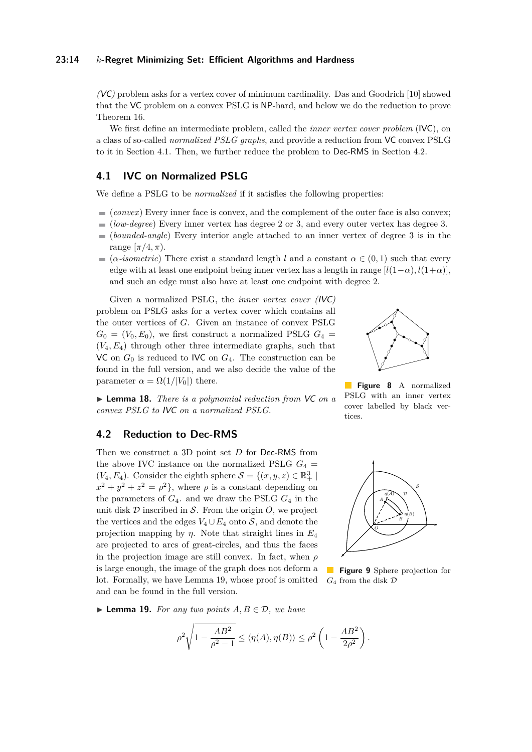#### **23:14** *k***-Regret Minimizing Set: Efficient Algorithms and Hardness**

*(*VC*)* problem asks for a vertex cover of minimum cardinality. Das and Goodrich [\[10\]](#page-16-14) showed that the VC problem on a convex PSLG is NP-hard, and below we do the reduction to prove Theorem [16.](#page-12-1)

We first define an intermediate problem, called the *inner vertex cover problem* (IVC), on a class of so-called *normalized PSLG graphs*, and provide a reduction from VC convex PSLG to it in Section [4.1.](#page-13-0) Then, we further reduce the problem to Dec-RMS in Section [4.2.](#page-13-1)

# <span id="page-13-0"></span>**4.1 IVC on Normalized PSLG**

We define a PSLG to be *normalized* if it satisfies the following properties:

- $\equiv$  (*convex*) Every inner face is convex, and the complement of the outer face is also convex;
- (*low-degree*) Every inner vertex has degree 2 or 3, and every outer vertex has degree 3.
- (*bounded-angle*) Every interior angle attached to an inner vertex of degree 3 is in the range  $[\pi/4, \pi]$ .
- $(\alpha\text{-}isometric)$  There exist a standard length *l* and a constant  $\alpha \in (0,1)$  such that every edge with at least one endpoint being inner vertex has a length in range  $[l(1-\alpha), l(1+\alpha)]$ . and such an edge must also have at least one endpoint with degree 2.

Given a normalized PSLG, the *inner vertex cover (*IVC*)* problem on PSLG asks for a vertex cover which contains all the outer vertices of *G*. Given an instance of convex PSLG  $G_0 = (V_0, E_0)$ , we first construct a normalized PSLG  $G_4$ (*V*4*, E*4) through other three intermediate graphs, such that VC on  $G_0$  is reduced to IVC on  $G_4$ . The construction can be found in the full version, and we also decide the value of the parameter  $\alpha = \Omega(1/|V_0|)$  there.

I **Lemma 18.** *There is a polynomial reduction from* VC *on a convex PSLG to* IVC *on a normalized PSLG.*

#### <span id="page-13-1"></span>**4.2 Reduction to Dec-RMS**

Then we construct a 3D point set *D* for Dec-RMS from the above IVC instance on the normalized PSLG  $G_4$  =  $(V_4, E_4)$ . Consider the eighth sphere  $S = \{(x, y, z) \in \mathbb{R}^3_+ \mid$  $x^2 + y^2 + z^2 = \rho^2$ , where  $\rho$  is a constant depending on the parameters of  $G_4$ . and we draw the PSLG  $G_4$  in the unit disk  $D$  inscribed in  $S$ . From the origin  $O$ , we project the vertices and the edges  $V_4 \cup E_4$  onto S, and denote the projection mapping by *η*. Note that straight lines in *E*<sup>4</sup> are projected to arcs of great-circles, and thus the faces in the projection image are still convex. In fact, when *ρ* is large enough, the image of the graph does not deform a lot. Formally, we have Lemma [19,](#page-13-2) whose proof is omitted and can be found in the full version.



**Figure 8** A normalized PSLG with an inner vertex cover labelled by black vertices.



**Figure 9** Sphere projection for *G*<sup>4</sup> from the disk D

<span id="page-13-2"></span>▶ **Lemma 19.** *For any two points*  $A, B \in \mathcal{D}$ *, we have* 

$$
\rho^2 \sqrt{1 - \frac{AB^2}{\rho^2 - 1}} \le \langle \eta(A), \eta(B) \rangle \le \rho^2 \left(1 - \frac{AB^2}{2\rho^2}\right).
$$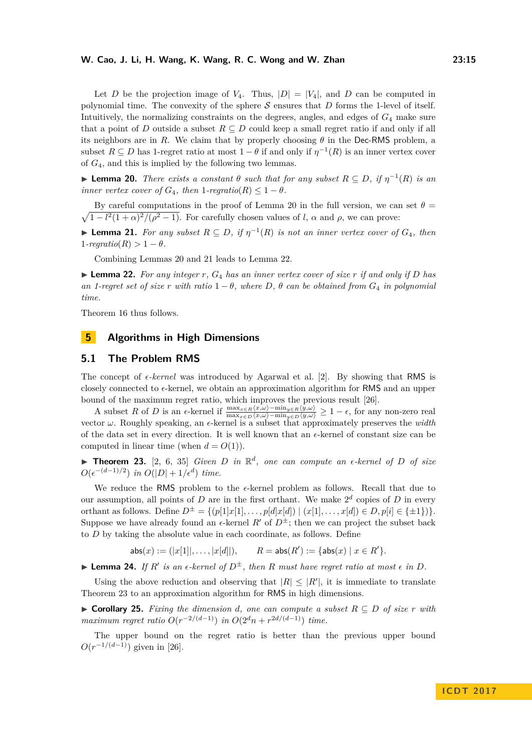Let *D* be the projection image of  $V_4$ . Thus,  $|D| = |V_4|$ , and *D* can be computed in polynomial time. The convexity of the sphere  $S$  ensures that  $D$  forms the 1-level of itself. Intuitively, the normalizing constraints on the degrees, angles, and edges of *G*<sup>4</sup> make sure that a point of *D* outside a subset  $R \subseteq D$  could keep a small regret ratio if and only if all its neighbors are in *R*. We claim that by properly choosing  $\theta$  in the Dec-RMS problem, a subset  $R \subseteq D$  has 1-regret ratio at most  $1 - \theta$  if and only if  $\eta^{-1}(R)$  is an inner vertex cover of *G*4, and this is implied by the following two lemmas.

<span id="page-14-1"></span>**► Lemma 20.** *There exists a constant*  $\theta$  *such that for any subset*  $R \subseteq D$ *, if*  $\eta^{-1}(R)$  *is an inner vertex cover of*  $G_4$ *, then*  $1$ *-regratio* $(R) \leq 1 - \theta$ *.* 

 $\sqrt{1 - l^2(1 + \alpha)^2/(\rho^2 - 1)}$ . For carefully chosen values of *l*,  $\alpha$  and  $\rho$ , we can prove: By careful computations in the proof of Lemma [20](#page-14-1) in the full version, we can set  $\theta =$ 

<span id="page-14-2"></span>► **Lemma 21.** For any subset  $R \subseteq D$ , if  $\eta^{-1}(R)$  is not an inner vertex cover of  $G_4$ , then  $1$ *-regratio* $(R) > 1 - \theta$ *.* 

Combining Lemmas [20](#page-14-1) and [21](#page-14-2) leads to Lemma [22.](#page-14-3)

<span id="page-14-3"></span> $\blacktriangleright$  **Lemma 22.** For any integer r,  $G_4$  has an inner vertex cover of size r if and only if D has *an 1-regret set of size r with ratio*  $1 - \theta$ *, where*  $D$ *,*  $\theta$  *can be obtained from*  $G_4$  *in polynomial time.*

Theorem [16](#page-12-1) thus follows.

# <span id="page-14-0"></span>**5 Algorithms in High Dimensions**

# **5.1 The Problem RMS**

The concept of  $\epsilon$ -kernel was introduced by Agarwal et al. [\[2\]](#page-16-9). By showing that RMS is closely connected to  $\epsilon$ -kernel, we obtain an approximation algorithm for RMS and an upper bound of the maximum regret ratio, which improves the previous result [\[26\]](#page-17-6).

A subset *R* of *D* is an  $\epsilon$ -kernel if  $\frac{\max_{x \in R} \langle x, \omega \rangle - \min_{y \in R} \langle y, \omega \rangle}{\max_{x \in D} \langle x, \omega \rangle - \min_{y \in D} \langle y, \omega \rangle} \ge 1 - \epsilon$ , for any non-zero real vector  $\omega$ . Roughly speaking, an  $\epsilon$ -kernel is a subset that approximately preserves the *width* of the data set in every direction. It is well known that an  $\epsilon$ -kernel of constant size can be computed in linear time (when  $d = O(1)$ ).

<span id="page-14-4"></span>**Theorem 23.** [\[2,](#page-16-9) [6,](#page-16-15) [35\]](#page-17-11) *Given D* in  $\mathbb{R}^d$ , one can compute an  $\epsilon$ -kernel of *D* of size  $O(\epsilon^{-(d-1)/2})$  *in*  $O(|D|+1/\epsilon^d)$  *time.* 

We reduce the RMS problem to the  $\epsilon$ -kernel problem as follows. Recall that due to our assumption, all points of  $D$  are in the first orthant. We make  $2^d$  copies of  $D$  in every orthant as follows. Define  $D^{\pm} = \{(p[1]x[1], \ldots, p[d]x[d]) \mid (x[1], \ldots, x[d]) \in D, p[i] \in {\pm 1}\}\}.$ Suppose we have already found an  $\epsilon$ -kernel *R'* of  $D^{\pm}$ ; then we can project the subset back to *D* by taking the absolute value in each coordinate, as follows. Define

> $\mathsf{abs}(x) := (|x[1]|, \ldots, |x[d]|),$  $(y') := \{ \text{abs}(x) \mid x \in R' \}.$

**Example 24.** *If*  $R'$  *is an*  $\epsilon$ -kernel of  $D^{\pm}$ , then  $R$  *must* have regret ratio at most  $\epsilon$  in  $D$ .

Using the above reduction and observing that  $|R| \leq |R'|$ , it is immediate to translate Theorem [23](#page-14-4) to an approximation algorithm for RMS in high dimensions.

► **Corollary 25.** Fixing the dimension *d*, one can compute a subset  $R ⊆ D$  of size  $r$  with *maximum regret ratio*  $O(r^{-2/(d-1)})$  *in*  $O(2^dn + r^{2d/(d-1)})$  *time.* 

The upper bound on the regret ratio is better than the previous upper bound  $O(r^{-1/(d-1)})$  given in [\[26\]](#page-17-6).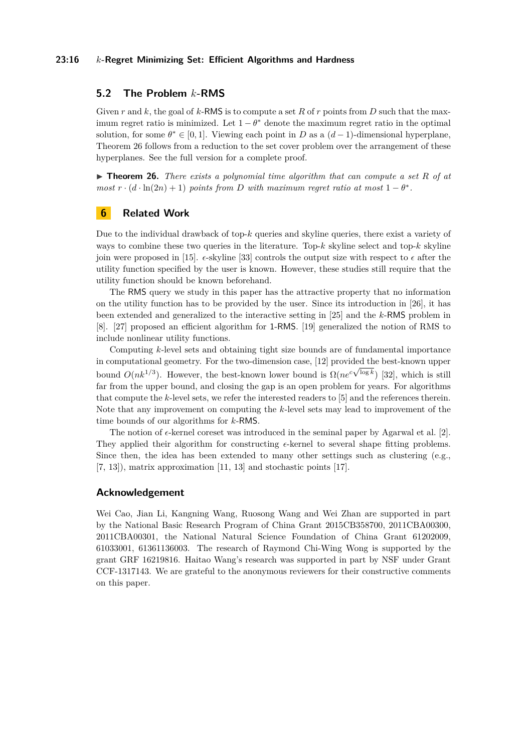#### **23:16** *k***-Regret Minimizing Set: Efficient Algorithms and Hardness**

# **5.2 The Problem** *k***-RMS**

Given *r* and *k*, the goal of *k*-RMS is to compute a set *R* of *r* points from *D* such that the maximum regret ratio is minimized. Let  $1 - \theta^*$  denote the maximum regret ratio in the optimal solution, for some  $\theta^* \in [0,1]$ . Viewing each point in *D* as a  $(d-1)$ -dimensional hyperplane, Theorem [26](#page-15-1) follows from a reduction to the set cover problem over the arrangement of these hyperplanes. See the full version for a complete proof.

<span id="page-15-1"></span>▶ **Theorem 26.** *There exists a polynomial time algorithm that can compute a set R of at most*  $r \cdot (d \cdot \ln(2n) + 1)$  *points from D with maximum regret ratio at most*  $1 - \theta^*$ .

# <span id="page-15-0"></span>**6 Related Work**

Due to the individual drawback of top-*k* queries and skyline queries, there exist a variety of ways to combine these two queries in the literature. Top-*k* skyline select and top-*k* skyline join were proposed in [\[15\]](#page-16-1).  $\epsilon$ -skyline [\[33\]](#page-17-12) controls the output size with respect to  $\epsilon$  after the utility function specified by the user is known. However, these studies still require that the utility function should be known beforehand.

The RMS query we study in this paper has the attractive property that no information on the utility function has to be provided by the user. Since its introduction in [\[26\]](#page-17-6), it has been extended and generalized to the interactive setting in [\[25\]](#page-17-5) and the *k*-RMS problem in [\[8\]](#page-16-8). [\[27\]](#page-17-7) proposed an efficient algorithm for 1-RMS. [\[19\]](#page-16-16) generalized the notion of RMS to include nonlinear utility functions.

Computing *k*-level sets and obtaining tight size bounds are of fundamental importance in computational geometry. For the two-dimension case, [\[12\]](#page-16-17) provided the best-known upper bound  $O(nk^{1/3})$ . However, the best-known lower bound is  $\Omega(n e^{c\sqrt{\log k}})$  [\[32\]](#page-17-13), which is still far from the upper bound, and closing the gap is an open problem for years. For algorithms that compute the *k*-level sets, we refer the interested readers to [\[5\]](#page-16-10) and the references therein. Note that any improvement on computing the *k*-level sets may lead to improvement of the time bounds of our algorithms for *k*-RMS.

The notion of  $\epsilon$ -kernel coreset was introduced in the seminal paper by Agarwal et al. [\[2\]](#page-16-9). They applied their algorithm for constructing  $\epsilon$ -kernel to several shape fitting problems. Since then, the idea has been extended to many other settings such as clustering (e.g.,  $[7, 13]$  $[7, 13]$ , matrix approximation  $[11, 13]$  $[11, 13]$  and stochastic points  $[17]$ .

### **Acknowledgement**

Wei Cao, Jian Li, Kangning Wang, Ruosong Wang and Wei Zhan are supported in part by the National Basic Research Program of China Grant 2015CB358700, 2011CBA00300, 2011CBA00301, the National Natural Science Foundation of China Grant 61202009, 61033001, 61361136003. The research of Raymond Chi-Wing Wong is supported by the grant GRF 16219816. Haitao Wang's research was supported in part by NSF under Grant CCF-1317143. We are grateful to the anonymous reviewers for their constructive comments on this paper.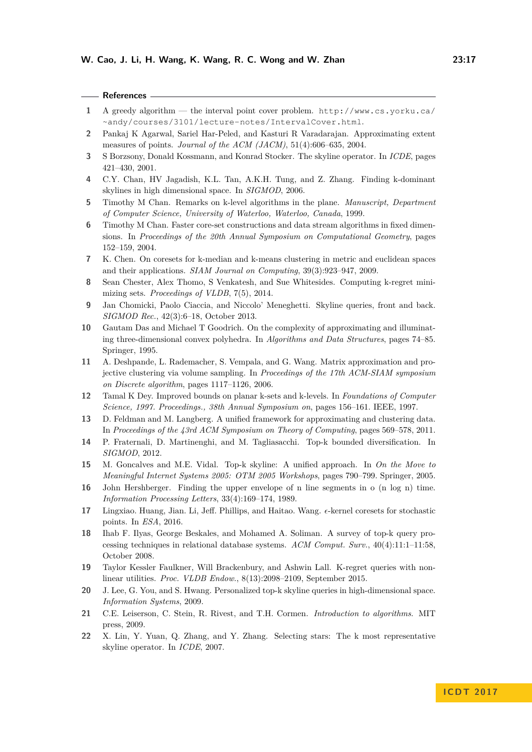| <b>References</b> |  |
|-------------------|--|
|-------------------|--|

- <span id="page-16-12"></span>**1** A greedy algorithm — the interval point cover problem. [http://www.cs.yorku.ca/](http://www.cs.yorku.ca/~andy/courses/3101/lecture-notes/IntervalCover.html) [~andy/courses/3101/lecture-notes/IntervalCover.html](http://www.cs.yorku.ca/~andy/courses/3101/lecture-notes/IntervalCover.html).
- <span id="page-16-9"></span>**2** Pankaj K Agarwal, Sariel Har-Peled, and Kasturi R Varadarajan. Approximating extent measures of points. *Journal of the ACM (JACM)*, 51(4):606–635, 2004.
- <span id="page-16-4"></span>**3** S Borzsony, Donald Kossmann, and Konrad Stocker. The skyline operator. In *ICDE*, pages 421–430, 2001.
- <span id="page-16-5"></span>**4** C.Y. Chan, HV Jagadish, K.L. Tan, A.K.H. Tung, and Z. Zhang. Finding k-dominant skylines in high dimensional space. In *SIGMOD*, 2006.
- <span id="page-16-10"></span>**5** Timothy M Chan. Remarks on k-level algorithms in the plane. *Manuscript, Department of Computer Science, University of Waterloo, Waterloo, Canada*, 1999.
- <span id="page-16-15"></span>**6** Timothy M Chan. Faster core-set constructions and data stream algorithms in fixed dimensions. In *Proceedings of the 20th Annual Symposium on Computational Geometry*, pages 152–159, 2004.
- <span id="page-16-18"></span>**7** K. Chen. On coresets for k-median and k-means clustering in metric and euclidean spaces and their applications. *SIAM Journal on Computing*, 39(3):923–947, 2009.
- <span id="page-16-8"></span>**8** Sean Chester, Alex Thomo, S Venkatesh, and Sue Whitesides. Computing k-regret minimizing sets. *Proceedings of VLDB*, 7(5), 2014.
- <span id="page-16-7"></span>**9** Jan Chomicki, Paolo Ciaccia, and Niccolo' Meneghetti. Skyline queries, front and back. *SIGMOD Rec.*, 42(3):6–18, October 2013.
- <span id="page-16-14"></span>**10** Gautam Das and Michael T Goodrich. On the complexity of approximating and illuminating three-dimensional convex polyhedra. In *Algorithms and Data Structures*, pages 74–85. Springer, 1995.
- <span id="page-16-20"></span>**11** A. Deshpande, L. Rademacher, S. Vempala, and G. Wang. Matrix approximation and projective clustering via volume sampling. In *Proceedings of the 17th ACM-SIAM symposium on Discrete algorithm*, pages 1117–1126, 2006.
- <span id="page-16-17"></span>**12** Tamal K Dey. Improved bounds on planar k-sets and k-levels. In *Foundations of Computer Science, 1997. Proceedings., 38th Annual Symposium on*, pages 156–161. IEEE, 1997.
- <span id="page-16-19"></span>**13** D. Feldman and M. Langberg. A unified framework for approximating and clustering data. In *Proceedings of the 43rd ACM Symposium on Theory of Computing*, pages 569–578, 2011.
- <span id="page-16-0"></span>**14** P. Fraternali, D. Martinenghi, and M. Tagliasacchi. Top-k bounded diversification. In *SIGMOD*, 2012.
- <span id="page-16-1"></span>**15** M. Goncalves and M.E. Vidal. Top-k skyline: A unified approach. In *On the Move to Meaningful Internet Systems 2005: OTM 2005 Workshops*, pages 790–799. Springer, 2005.
- <span id="page-16-11"></span>**16** John Hershberger. Finding the upper envelope of n line segments in o (n log n) time. *Information Processing Letters*, 33(4):169–174, 1989.
- <span id="page-16-21"></span>17 Lingxiao. Huang, Jian. Li, Jeff. Phillips, and Haitao. Wang.  $\epsilon$ -kernel coresets for stochastic points. In *ESA*, 2016.
- <span id="page-16-3"></span>**18** Ihab F. Ilyas, George Beskales, and Mohamed A. Soliman. A survey of top-k query processing techniques in relational database systems. *ACM Comput. Surv.*, 40(4):11:1–11:58, October 2008.
- <span id="page-16-16"></span>**19** Taylor Kessler Faulkner, Will Brackenbury, and Ashwin Lall. K-regret queries with nonlinear utilities. *Proc. VLDB Endow.*, 8(13):2098–2109, September 2015.
- <span id="page-16-2"></span>**20** J. Lee, G. You, and S. Hwang. Personalized top-k skyline queries in high-dimensional space. *Information Systems*, 2009.
- <span id="page-16-13"></span>**21** C.E. Leiserson, C. Stein, R. Rivest, and T.H. Cormen. *Introduction to algorithms*. MIT press, 2009.
- <span id="page-16-6"></span>**22** X. Lin, Y. Yuan, Q. Zhang, and Y. Zhang. Selecting stars: The k most representative skyline operator. In *ICDE*, 2007.